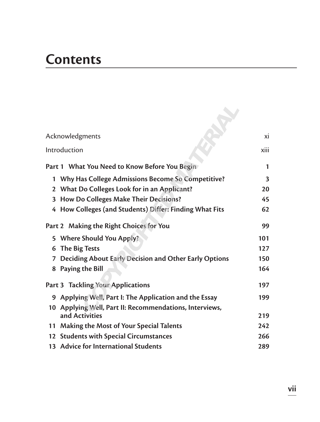## **Contents**

| Acknowledgments<br>Introduction |                                                         | xi   |
|---------------------------------|---------------------------------------------------------|------|
|                                 |                                                         | xiii |
|                                 | Part 1 What You Need to Know Before You Begin           | 1    |
| 1                               | Why Has College Admissions Become So Competitive?       | 3    |
|                                 | 2 What Do Colleges Look for in an Applicant?            | 20   |
| 3                               | How Do Colleges Make Their Decisions?                   | 45   |
|                                 | 4 How Colleges (and Students) Differ: Finding What Fits | 62   |
|                                 | Part 2 Making the Right Choices for You                 | 99   |
|                                 | 5 Where Should You Apply?                               | 101  |
| 6                               | The Big Tests                                           | 127  |
| 7                               | Deciding About Early Decision and Other Early Options   | 150  |
|                                 | 8 Paying the Bill                                       | 164  |
|                                 | Part 3 Tackling Your Applications                       | 197  |
|                                 | 9 Applying Well, Part I: The Application and the Essay  | 199  |
|                                 | 10 Applying Well, Part II: Recommendations, Interviews, |      |
|                                 | and Activities                                          | 219  |
|                                 | 11 Making the Most of Your Special Talents              | 242  |
|                                 | 12 Students with Special Circumstances                  | 266  |
|                                 | 13 Advice for International Students                    | 289  |